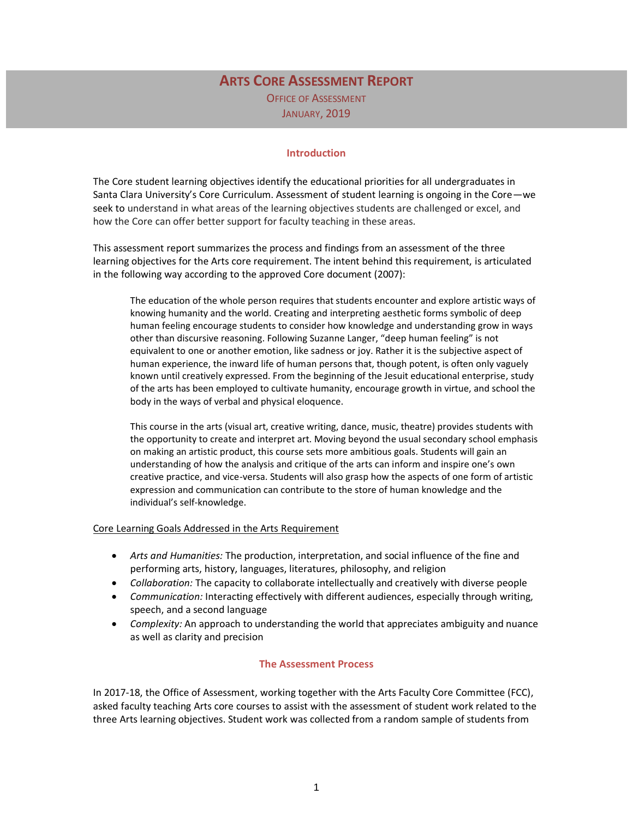## **ARTS CORE ASSESSMENT REPORT** OFFICE OF ASSESSMENT JANUARY, 2019

## **Introduction**

The Core student learning objectives identify the educational priorities for all undergraduates in Santa Clara University's Core Curriculum. Assessment of student learning is ongoing in the Core—we seek to understand in what areas of the learning objectives students are challenged or excel, and how the Core can offer better support for faculty teaching in these areas.

This assessment report summarizes the process and findings from an assessment of the three learning objectives for the Arts core requirement. The intent behind this requirement, is articulated in the following way according to the approved Core document (2007):

The education of the whole person requires that students encounter and explore artistic ways of knowing humanity and the world. Creating and interpreting aesthetic forms symbolic of deep human feeling encourage students to consider how knowledge and understanding grow in ways other than discursive reasoning. Following Suzanne Langer, "deep human feeling" is not equivalent to one or another emotion, like sadness or joy. Rather it is the subjective aspect of human experience, the inward life of human persons that, though potent, is often only vaguely known until creatively expressed. From the beginning of the Jesuit educational enterprise, study of the arts has been employed to cultivate humanity, encourage growth in virtue, and school the body in the ways of verbal and physical eloquence.

This course in the arts (visual art, creative writing, dance, music, theatre) provides students with the opportunity to create and interpret art. Moving beyond the usual secondary school emphasis on making an artistic product, this course sets more ambitious goals. Students will gain an understanding of how the analysis and critique of the arts can inform and inspire one's own creative practice, and vice-versa. Students will also grasp how the aspects of one form of artistic expression and communication can contribute to the store of human knowledge and the individual's self-knowledge.

#### Core Learning Goals Addressed in the Arts Requirement

- *Arts and Humanities:* The production, interpretation, and social influence of the fine and performing arts, history, languages, literatures, philosophy, and religion
- *Collaboration:* The capacity to collaborate intellectually and creatively with diverse people
- *Communication:* Interacting effectively with different audiences, especially through writing, speech, and a second language
- *Complexity:* An approach to understanding the world that appreciates ambiguity and nuance as well as clarity and precision

#### **The Assessment Process**

In 2017-18, the Office of Assessment, working together with the Arts Faculty Core Committee (FCC), asked faculty teaching Arts core courses to assist with the assessment of student work related to the three Arts learning objectives. Student work was collected from a random sample of students from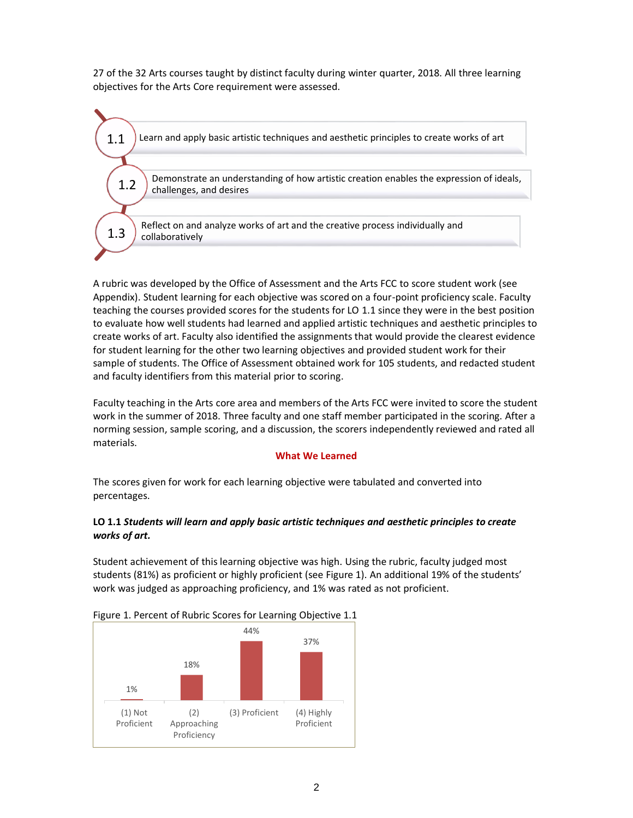27 of the 32 Arts courses taught by distinct faculty during winter quarter, 2018. All three learning objectives for the Arts Core requirement were assessed.



A rubric was developed by the Office of Assessment and the Arts FCC to score student work (see Appendix). Student learning for each objective was scored on a four-point proficiency scale. Faculty teaching the courses provided scores for the students for LO 1.1 since they were in the best position to evaluate how well students had learned and applied artistic techniques and aesthetic principles to create works of art. Faculty also identified the assignments that would provide the clearest evidence for student learning for the other two learning objectives and provided student work for their sample of students. The Office of Assessment obtained work for 105 students, and redacted student and faculty identifiers from this material prior to scoring.

Faculty teaching in the Arts core area and members of the Arts FCC were invited to score the student work in the summer of 2018. Three faculty and one staff member participated in the scoring. After a norming session, sample scoring, and a discussion, the scorers independently reviewed and rated all materials.

## **What We Learned**

The scores given for work for each learning objective were tabulated and converted into percentages.

## **LO 1.1** *Students will learn and apply basic artistic techniques and aesthetic principles to create works of art.*

Student achievement of this learning objective was high. Using the rubric, faculty judged most students (81%) as proficient or highly proficient (see Figure 1). An additional 19% of the students' work was judged as approaching proficiency, and 1% was rated as not proficient.



#### Figure 1. Percent of Rubric Scores for Learning Objective 1.1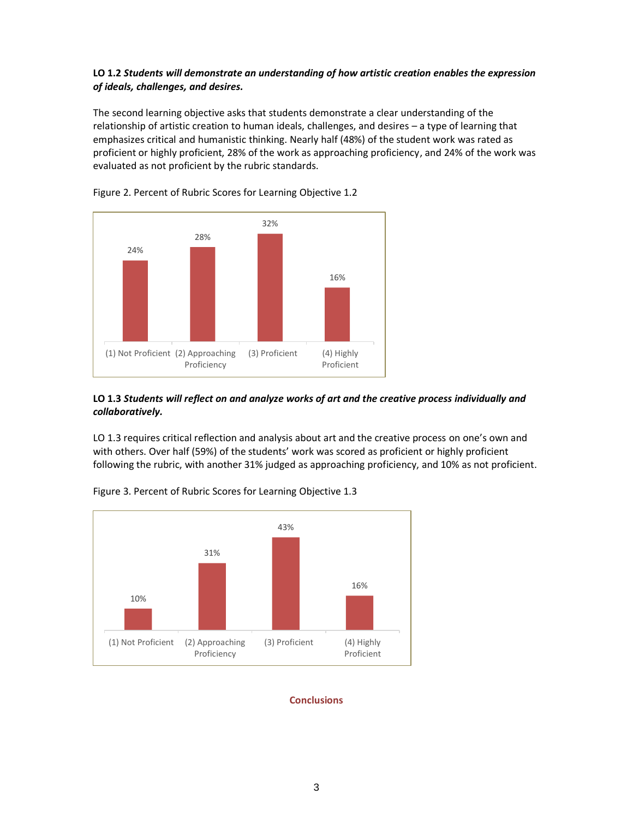## **LO 1.2** *Students will demonstrate an understanding of how artistic creation enables the expression of ideals, challenges, and desires.*

The second learning objective asks that students demonstrate a clear understanding of the relationship of artistic creation to human ideals, challenges, and desires – a type of learning that emphasizes critical and humanistic thinking. Nearly half (48%) of the student work was rated as proficient or highly proficient, 28% of the work as approaching proficiency, and 24% of the work was evaluated as not proficient by the rubric standards.



Figure 2. Percent of Rubric Scores for Learning Objective 1.2

## **LO 1.3** *Students will reflect on and analyze works of art and the creative process individually and collaboratively.*

LO 1.3 requires critical reflection and analysis about art and the creative process on one's own and with others. Over half (59%) of the students' work was scored as proficient or highly proficient following the rubric, with another 31% judged as approaching proficiency, and 10% as not proficient.



Figure 3. Percent of Rubric Scores for Learning Objective 1.3

#### **Conclusions**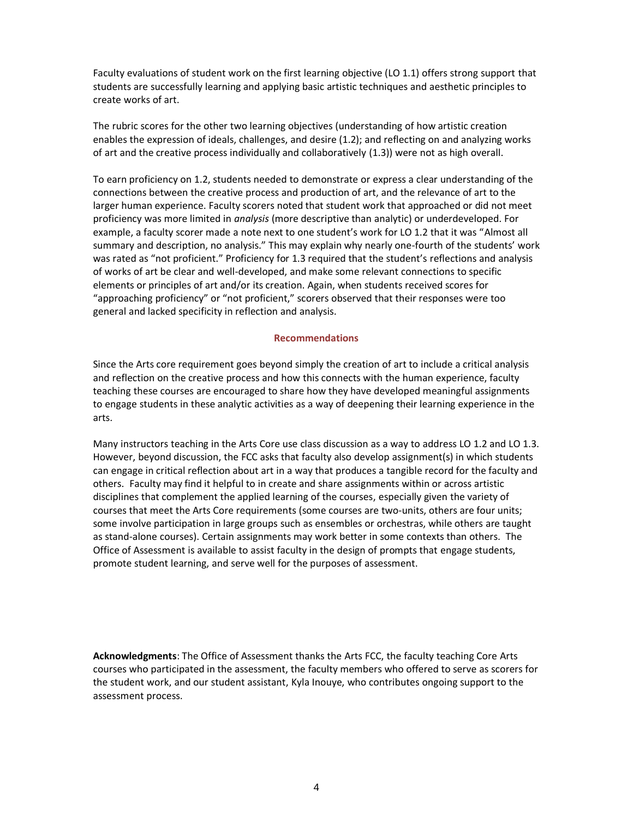Faculty evaluations of student work on the first learning objective (LO 1.1) offers strong support that students are successfully learning and applying basic artistic techniques and aesthetic principles to create works of art.

The rubric scores for the other two learning objectives (understanding of how artistic creation enables the expression of ideals, challenges, and desire (1.2); and reflecting on and analyzing works of art and the creative process individually and collaboratively (1.3)) were not as high overall.

To earn proficiency on 1.2, students needed to demonstrate or express a clear understanding of the connections between the creative process and production of art, and the relevance of art to the larger human experience. Faculty scorers noted that student work that approached or did not meet proficiency was more limited in *analysis* (more descriptive than analytic) or underdeveloped. For example, a faculty scorer made a note next to one student's work for LO 1.2 that it was "Almost all summary and description, no analysis." This may explain why nearly one-fourth of the students' work was rated as "not proficient." Proficiency for 1.3 required that the student's reflections and analysis of works of art be clear and well-developed, and make some relevant connections to specific elements or principles of art and/or its creation. Again, when students received scores for "approaching proficiency" or "not proficient," scorers observed that their responses were too general and lacked specificity in reflection and analysis.

## **Recommendations**

Since the Arts core requirement goes beyond simply the creation of art to include a critical analysis and reflection on the creative process and how this connects with the human experience, faculty teaching these courses are encouraged to share how they have developed meaningful assignments to engage students in these analytic activities as a way of deepening their learning experience in the arts.

Many instructors teaching in the Arts Core use class discussion as a way to address LO 1.2 and LO 1.3. However, beyond discussion, the FCC asks that faculty also develop assignment(s) in which students can engage in critical reflection about art in a way that produces a tangible record for the faculty and others. Faculty may find it helpful to in create and share assignments within or across artistic disciplines that complement the applied learning of the courses, especially given the variety of courses that meet the Arts Core requirements (some courses are two-units, others are four units; some involve participation in large groups such as ensembles or orchestras, while others are taught as stand-alone courses). Certain assignments may work better in some contexts than others. The Office of Assessment is available to assist faculty in the design of prompts that engage students, promote student learning, and serve well for the purposes of assessment.

**Acknowledgments**: The Office of Assessment thanks the Arts FCC, the faculty teaching Core Arts courses who participated in the assessment, the faculty members who offered to serve as scorers for the student work, and our student assistant, Kyla Inouye, who contributes ongoing support to the assessment process.